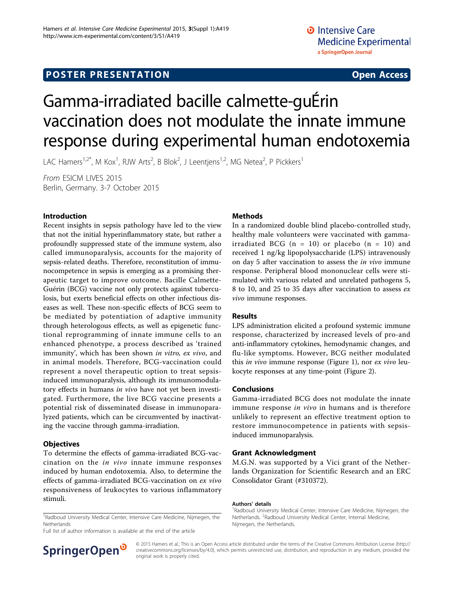## **POSTER PRESENTATION CONSUMING THE SERVICE SERVICE SERVICES**

# Gamma-irradiated bacille calmette-guÉrin vaccination does not modulate the innate immune response during experimental human endotoxemia

LAC Hamers<sup>1,2\*</sup>, M Kox<sup>1</sup>, RJW Arts<sup>2</sup>, B Blok<sup>2</sup>, J Leentjens<sup>1,2</sup>, MG Netea<sup>2</sup>, P Pickkers<sup>1</sup>

From ESICM LIVES 2015 Berlin, Germany. 3-7 October 2015

#### Introduction

Recent insights in sepsis pathology have led to the view that not the initial hyperinflammatory state, but rather a profoundly suppressed state of the immune system, also called immunoparalysis, accounts for the majority of sepsis-related deaths. Therefore, reconstitution of immunocompetence in sepsis is emerging as a promising therapeutic target to improve outcome. Bacille Calmette-Guérin (BCG) vaccine not only protects against tuberculosis, but exerts beneficial effects on other infectious diseases as well. These non-specific effects of BCG seem to be mediated by potentiation of adaptive immunity through heterologous effects, as well as epigenetic functional reprogramming of innate immune cells to an enhanced phenotype, a process described as 'trained immunity', which has been shown in vitro, ex vivo, and in animal models. Therefore, BCG-vaccination could represent a novel therapeutic option to treat sepsisinduced immunoparalysis, although its immunomodulatory effects in humans in vivo have not yet been investigated. Furthermore, the live BCG vaccine presents a potential risk of disseminated disease in immunoparalyzed patients, which can be circumvented by inactivating the vaccine through gamma-irradiation.

#### **Objectives**

To determine the effects of gamma-irradiated BCG-vaccination on the in vivo innate immune responses induced by human endotoxemia. Also, to determine the effects of gamma-irradiated BCG-vaccination on ex vivo responsiveness of leukocytes to various inflammatory stimuli.

<sup>1</sup>Radboud University Medical Center, Intensive Care Medicine, Nijmegen, the Netherlands

Full list of author information is available at the end of the article

#### Methods

In a randomized double blind placebo-controlled study, healthy male volunteers were vaccinated with gammairradiated BCG  $(n = 10)$  or placebo  $(n = 10)$  and received 1 ng/kg lipopolysaccharide (LPS) intravenously on day 5 after vaccination to assess the in vivo immune response. Peripheral blood mononuclear cells were stimulated with various related and unrelated pathogens 5, 8 to 10, and 25 to 35 days after vaccination to assess ex vivo immune responses.

#### Results

LPS administration elicited a profound systemic immune response, characterized by increased levels of pro-and anti-inflammatory cytokines, hemodynamic changes, and flu-like symptoms. However, BCG neither modulated this in vivo immune response (Figure [1\)](#page-1-0), nor ex vivo leukocyte responses at any time-point (Figure [2](#page-2-0)).

#### Conclusions

Gamma-irradiated BCG does not modulate the innate immune response in vivo in humans and is therefore unlikely to represent an effective treatment option to restore immunocompetence in patients with sepsisinduced immunoparalysis.

#### Grant Acknowledgment

M.G.N. was supported by a Vici grant of the Netherlands Organization for Scientific Research and an ERC Consolidator Grant (#310372).

#### Authors' details <sup>1</sup>



© 2015 Hamers et al.; This is an Open Access article distributed under the terms of the Creative Commons Attribution License [\(http://](http://creativecommons.org/licenses/by/4.0) [creativecommons.org/licenses/by/4.0](http://creativecommons.org/licenses/by/4.0)), which permits unrestricted use, distribution, and reproduction in any medium, provided the original work is properly cited.

<sup>&</sup>lt;sup>1</sup>Radboud University Medical Center, Intensive Care Medicine, Nijmegen, the Netherlands. <sup>2</sup>Radboud University Medical Center, Internal Medicine, Nijmegen, the Netherlands.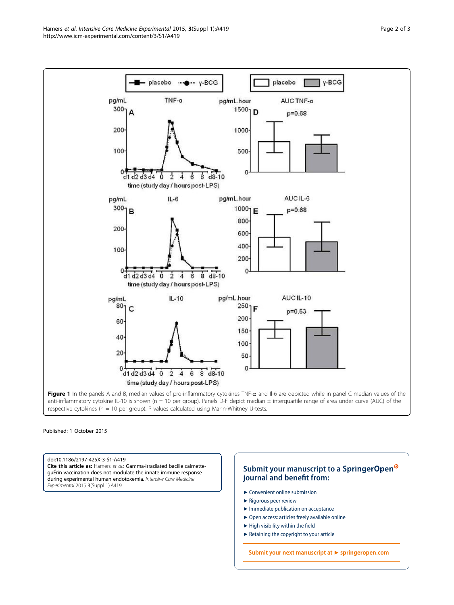<span id="page-1-0"></span>

Published: 1 October 2015

doi:10.1186/2197-425X-3-S1-A419 Cite this article as: Hamers et al.: Gamma-irradiated bacille calmetteguÉrin vaccination does not modulate the innate immune response during experimental human endotoxemia. Intensive Care Medicine Experimental 2015 3(Suppl 1):A419.

### **Submit your manuscript to a SpringerOpen**<sup>o</sup> **journal and benefit from:**

- $\blacktriangleright$  Convenient online submission
- $\blacktriangleright$  Rigorous peer review
- **The Immediate publication on acceptance**
- $\blacktriangleright$  $\blacktriangleright$  $\blacktriangleright$  Open access: articles freely available online
- $\blacktriangleright$  High visibility within the field
- $\blacktriangleright$  Retaining the copyright to your article

**Submit your next manuscript at** 7 **[springeropen.com](http://www.springeropen.com/)**